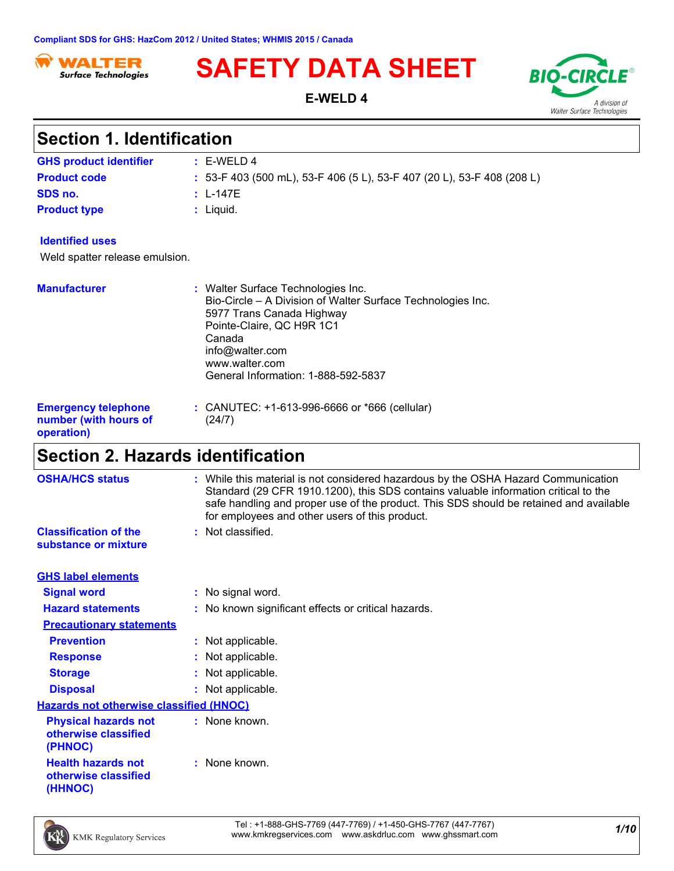

# **SAFETY DATA SHEET** BIO-CIR

**E-WELD 4**



| <b>Section 1. Identification</b>                                  |                                                                                                                                                                                                                                                   |  |
|-------------------------------------------------------------------|---------------------------------------------------------------------------------------------------------------------------------------------------------------------------------------------------------------------------------------------------|--|
| <b>GHS product identifier</b>                                     | $: E-WELD4$                                                                                                                                                                                                                                       |  |
| <b>Product code</b>                                               | : 53-F 403 (500 mL), 53-F 406 (5 L), 53-F 407 (20 L), 53-F 408 (208 L)                                                                                                                                                                            |  |
| SDS no.                                                           | : $L-147F$                                                                                                                                                                                                                                        |  |
| <b>Product type</b>                                               | : Liquid.                                                                                                                                                                                                                                         |  |
| <b>Identified uses</b>                                            |                                                                                                                                                                                                                                                   |  |
| Weld spatter release emulsion.                                    |                                                                                                                                                                                                                                                   |  |
| <b>Manufacturer</b>                                               | : Walter Surface Technologies Inc.<br>Bio-Circle – A Division of Walter Surface Technologies Inc.<br>5977 Trans Canada Highway<br>Pointe-Claire, QC H9R 1C1<br>Canada<br>info@walter.com<br>www.walter.com<br>General Information: 1-888-592-5837 |  |
| <b>Emergency telephone</b><br>number (with hours of<br>operation) | : CANUTEC: $+1-613-996-6666$ or $*666$ (cellular)<br>(24/7)                                                                                                                                                                                       |  |
| <b>Section 2. Hazards identification</b>                          |                                                                                                                                                                                                                                                   |  |

| <b>OSHA/HCS status</b>                                         | : While this material is not considered hazardous by the OSHA Hazard Communication<br>Standard (29 CFR 1910.1200), this SDS contains valuable information critical to the<br>safe handling and proper use of the product. This SDS should be retained and available<br>for employees and other users of this product. |  |  |  |
|----------------------------------------------------------------|-----------------------------------------------------------------------------------------------------------------------------------------------------------------------------------------------------------------------------------------------------------------------------------------------------------------------|--|--|--|
| <b>Classification of the</b><br>substance or mixture           | : Not classified.                                                                                                                                                                                                                                                                                                     |  |  |  |
| <b>GHS label elements</b>                                      |                                                                                                                                                                                                                                                                                                                       |  |  |  |
| <b>Signal word</b>                                             | : No signal word.                                                                                                                                                                                                                                                                                                     |  |  |  |
| <b>Hazard statements</b>                                       | : No known significant effects or critical hazards.                                                                                                                                                                                                                                                                   |  |  |  |
| <b>Precautionary statements</b>                                |                                                                                                                                                                                                                                                                                                                       |  |  |  |
| <b>Prevention</b>                                              | : Not applicable.                                                                                                                                                                                                                                                                                                     |  |  |  |
| <b>Response</b>                                                | : Not applicable.                                                                                                                                                                                                                                                                                                     |  |  |  |
| <b>Storage</b>                                                 | : Not applicable.                                                                                                                                                                                                                                                                                                     |  |  |  |
| <b>Disposal</b>                                                | : Not applicable.                                                                                                                                                                                                                                                                                                     |  |  |  |
| <b>Hazards not otherwise classified (HNOC)</b>                 |                                                                                                                                                                                                                                                                                                                       |  |  |  |
| <b>Physical hazards not</b><br>otherwise classified<br>(PHNOC) | : None known.                                                                                                                                                                                                                                                                                                         |  |  |  |
| <b>Health hazards not</b><br>otherwise classified<br>(HHNOC)   | $:$ None known.                                                                                                                                                                                                                                                                                                       |  |  |  |

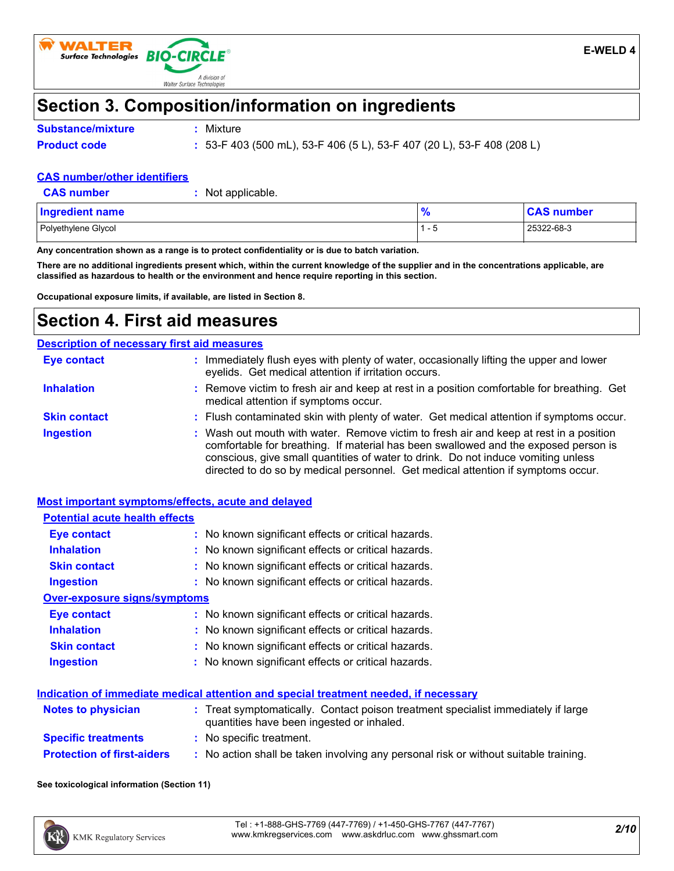

### **Section 3. Composition/information on ingredients**

- **Substance/mixture**
- **:** Mixture
- **Product code :** 53-F 403 (500 mL), 53-F 406 (5 L), 53-F 407 (20 L), 53-F 408 (208 L)

### **CAS number/other identifiers**

| <b>CAS number</b> |
|-------------------|
|                   |

**:** Not applicable.

| Ingredient name     | - 0<br>70 | <b>CAS number</b> |
|---------------------|-----------|-------------------|
| Polyethylene Glycol | ' - L     | 25322-68-3        |

**Any concentration shown as a range is to protect confidentiality or is due to batch variation.**

**There are no additional ingredients present which, within the current knowledge of the supplier and in the concentrations applicable, are classified as hazardous to health or the environment and hence require reporting in this section.**

**Occupational exposure limits, if available, are listed in Section 8.**

### **Section 4. First aid measures**

#### **Ingestion 19.1 The Control of the Victor Control of the Union State of the State of the State of the State of the State of the State of the State of the State of the State of the State of the State of the State of the S** comfortable for breathing. If material has been swallowed and the exposed person is conscious, give small quantities of water to drink. Do not induce vomiting unless directed to do so by medical personnel. Get medical attention if symptoms occur. **:** Immediately flush eyes with plenty of water, occasionally lifting the upper and lower eyelids. Get medical attention if irritation occurs. Flush contaminated skin with plenty of water. Get medical attention if symptoms occur. **:** Remove victim to fresh air and keep at rest in a position comfortable for breathing. Get **:** medical attention if symptoms occur. **Eye contact Skin contact Inhalation Description of necessary first aid measures**

| <b>Most important symptoms/effects, acute and delayed</b> |                                                                                                                                |
|-----------------------------------------------------------|--------------------------------------------------------------------------------------------------------------------------------|
| <b>Potential acute health effects</b>                     |                                                                                                                                |
| Eye contact                                               | : No known significant effects or critical hazards.                                                                            |
| <b>Inhalation</b>                                         | : No known significant effects or critical hazards.                                                                            |
| <b>Skin contact</b>                                       | : No known significant effects or critical hazards.                                                                            |
| <b>Ingestion</b>                                          | : No known significant effects or critical hazards.                                                                            |
| <b>Over-exposure signs/symptoms</b>                       |                                                                                                                                |
| Eye contact                                               | : No known significant effects or critical hazards.                                                                            |
| <b>Inhalation</b>                                         | : No known significant effects or critical hazards.                                                                            |
| <b>Skin contact</b>                                       | : No known significant effects or critical hazards.                                                                            |
| <b>Ingestion</b>                                          | : No known significant effects or critical hazards.                                                                            |
|                                                           | Indication of immediate medical attention and special treatment needed, if necessary                                           |
| <b>Notes to physician</b>                                 | : Treat symptomatically. Contact poison treatment specialist immediately if large<br>quantities have been ingested or inhaled. |
| <b>Specific treatments</b>                                | : No specific treatment.                                                                                                       |
| <b>Protection of first-aiders</b>                         | : No action shall be taken involving any personal risk or without suitable training.                                           |

**See toxicological information (Section 11)**

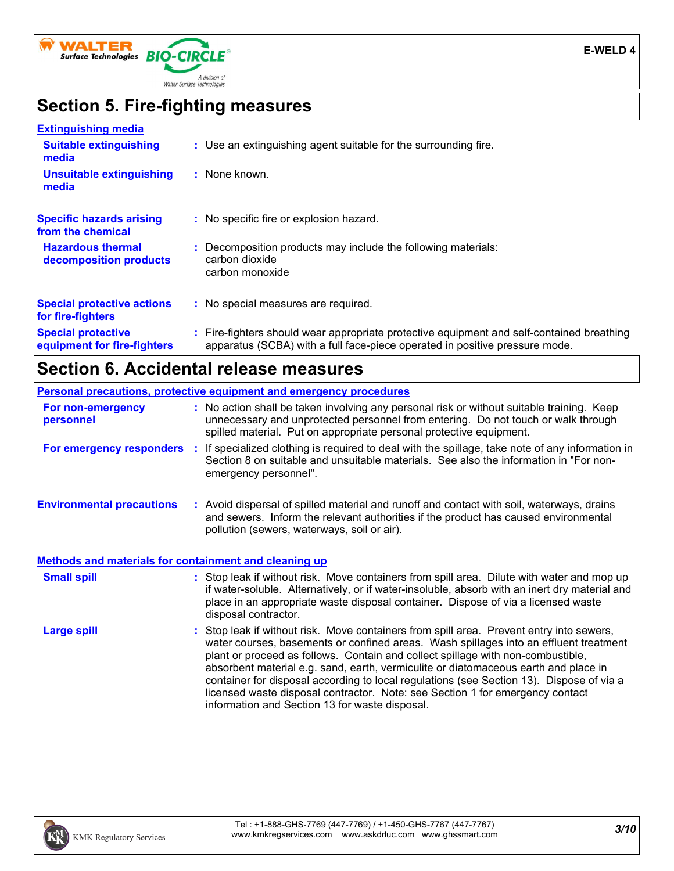

# **Section 5. Fire-fighting measures**

| <b>Extinguishing media</b>                               |                                                                                                                                                                          |
|----------------------------------------------------------|--------------------------------------------------------------------------------------------------------------------------------------------------------------------------|
| <b>Suitable extinguishing</b><br>media                   | : Use an extinguishing agent suitable for the surrounding fire.                                                                                                          |
| Unsuitable extinguishing<br>media                        | : None known.                                                                                                                                                            |
| <b>Specific hazards arising</b><br>from the chemical     | : No specific fire or explosion hazard.                                                                                                                                  |
| <b>Hazardous thermal</b><br>decomposition products       | : Decomposition products may include the following materials:<br>carbon dioxide<br>carbon monoxide                                                                       |
| <b>Special protective actions</b><br>for fire-fighters   | : No special measures are required.                                                                                                                                      |
| <b>Special protective</b><br>equipment for fire-fighters | : Fire-fighters should wear appropriate protective equipment and self-contained breathing<br>apparatus (SCBA) with a full face-piece operated in positive pressure mode. |

# **Section 6. Accidental release measures**

| <b>Personal precautions, protective equipment and emergency procedures</b> |  |                                                                                                                                                                                                                                                                                                                                                                                                                                                                                                                                                                                            |  |  |
|----------------------------------------------------------------------------|--|--------------------------------------------------------------------------------------------------------------------------------------------------------------------------------------------------------------------------------------------------------------------------------------------------------------------------------------------------------------------------------------------------------------------------------------------------------------------------------------------------------------------------------------------------------------------------------------------|--|--|
| For non-emergency<br>personnel                                             |  | : No action shall be taken involving any personal risk or without suitable training. Keep<br>unnecessary and unprotected personnel from entering. Do not touch or walk through<br>spilled material. Put on appropriate personal protective equipment.                                                                                                                                                                                                                                                                                                                                      |  |  |
|                                                                            |  | For emergency responders : If specialized clothing is required to deal with the spillage, take note of any information in<br>Section 8 on suitable and unsuitable materials. See also the information in "For non-<br>emergency personnel".                                                                                                                                                                                                                                                                                                                                                |  |  |
| <b>Environmental precautions</b>                                           |  | : Avoid dispersal of spilled material and runoff and contact with soil, waterways, drains<br>and sewers. Inform the relevant authorities if the product has caused environmental<br>pollution (sewers, waterways, soil or air).                                                                                                                                                                                                                                                                                                                                                            |  |  |
| <b>Methods and materials for containment and cleaning up</b>               |  |                                                                                                                                                                                                                                                                                                                                                                                                                                                                                                                                                                                            |  |  |
| <b>Small spill</b>                                                         |  | : Stop leak if without risk. Move containers from spill area. Dilute with water and mop up<br>if water-soluble. Alternatively, or if water-insoluble, absorb with an inert dry material and<br>place in an appropriate waste disposal container. Dispose of via a licensed waste<br>disposal contractor.                                                                                                                                                                                                                                                                                   |  |  |
| <b>Large spill</b>                                                         |  | : Stop leak if without risk. Move containers from spill area. Prevent entry into sewers,<br>water courses, basements or confined areas. Wash spillages into an effluent treatment<br>plant or proceed as follows. Contain and collect spillage with non-combustible,<br>absorbent material e.g. sand, earth, vermiculite or diatomaceous earth and place in<br>container for disposal according to local regulations (see Section 13). Dispose of via a<br>licensed waste disposal contractor. Note: see Section 1 for emergency contact<br>information and Section 13 for waste disposal. |  |  |

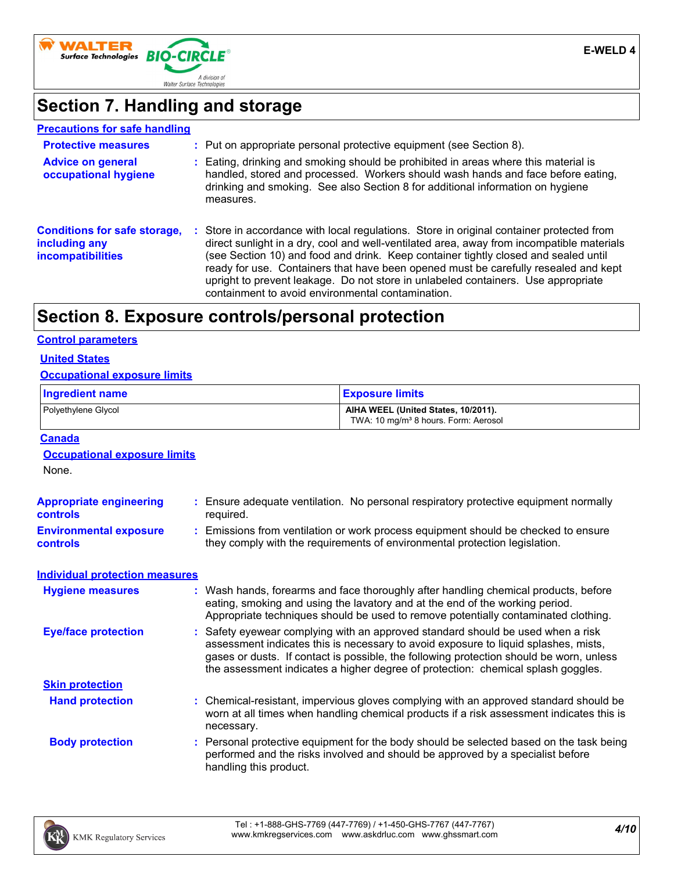

# **Section 7. Handling and storage**

| <b>Precautions for safe handling</b>                                             |                                                                                                                                                                                                                                                                                                                                                                                                                                                                                                               |
|----------------------------------------------------------------------------------|---------------------------------------------------------------------------------------------------------------------------------------------------------------------------------------------------------------------------------------------------------------------------------------------------------------------------------------------------------------------------------------------------------------------------------------------------------------------------------------------------------------|
| <b>Protective measures</b>                                                       | : Put on appropriate personal protective equipment (see Section 8).                                                                                                                                                                                                                                                                                                                                                                                                                                           |
| <b>Advice on general</b><br>occupational hygiene                                 | : Eating, drinking and smoking should be prohibited in areas where this material is<br>handled, stored and processed. Workers should wash hands and face before eating,<br>drinking and smoking. See also Section 8 for additional information on hygiene<br>measures.                                                                                                                                                                                                                                        |
| <b>Conditions for safe storage,</b><br>including any<br><b>incompatibilities</b> | : Store in accordance with local regulations. Store in original container protected from<br>direct sunlight in a dry, cool and well-ventilated area, away from incompatible materials<br>(see Section 10) and food and drink. Keep container tightly closed and sealed until<br>ready for use. Containers that have been opened must be carefully resealed and kept<br>upright to prevent leakage. Do not store in unlabeled containers. Use appropriate<br>containment to avoid environmental contamination. |

## **Section 8. Exposure controls/personal protection**

#### **Control parameters**

### **United States**

#### **Occupational exposure limits**

| <b>Ingredient name</b>                                  |  |                                                                                                                                                                                                                                                                                                                                                     | <b>Exposure limits</b><br>AIHA WEEL (United States, 10/2011).<br>TWA: 10 mg/m <sup>3</sup> 8 hours. Form: Aerosol                                                                                                                                       |  |
|---------------------------------------------------------|--|-----------------------------------------------------------------------------------------------------------------------------------------------------------------------------------------------------------------------------------------------------------------------------------------------------------------------------------------------------|---------------------------------------------------------------------------------------------------------------------------------------------------------------------------------------------------------------------------------------------------------|--|
| Polyethylene Glycol                                     |  |                                                                                                                                                                                                                                                                                                                                                     |                                                                                                                                                                                                                                                         |  |
| <b>Canada</b>                                           |  |                                                                                                                                                                                                                                                                                                                                                     |                                                                                                                                                                                                                                                         |  |
| <b>Occupational exposure limits</b>                     |  |                                                                                                                                                                                                                                                                                                                                                     |                                                                                                                                                                                                                                                         |  |
| None.                                                   |  |                                                                                                                                                                                                                                                                                                                                                     |                                                                                                                                                                                                                                                         |  |
| <b>Appropriate engineering</b><br>controls<br>required. |  |                                                                                                                                                                                                                                                                                                                                                     | Ensure adequate ventilation. No personal respiratory protective equipment normally                                                                                                                                                                      |  |
| <b>Environmental exposure</b><br><b>controls</b>        |  |                                                                                                                                                                                                                                                                                                                                                     | Emissions from ventilation or work process equipment should be checked to ensure<br>they comply with the requirements of environmental protection legislation.                                                                                          |  |
| <b>Individual protection measures</b>                   |  |                                                                                                                                                                                                                                                                                                                                                     |                                                                                                                                                                                                                                                         |  |
| <b>Hygiene measures</b>                                 |  |                                                                                                                                                                                                                                                                                                                                                     | Wash hands, forearms and face thoroughly after handling chemical products, before<br>eating, smoking and using the lavatory and at the end of the working period.<br>Appropriate techniques should be used to remove potentially contaminated clothing. |  |
| <b>Eye/face protection</b>                              |  | Safety eyewear complying with an approved standard should be used when a risk<br>assessment indicates this is necessary to avoid exposure to liquid splashes, mists,<br>gases or dusts. If contact is possible, the following protection should be worn, unless<br>the assessment indicates a higher degree of protection: chemical splash goggles. |                                                                                                                                                                                                                                                         |  |
| <b>Skin protection</b>                                  |  |                                                                                                                                                                                                                                                                                                                                                     |                                                                                                                                                                                                                                                         |  |
| <b>Hand protection</b>                                  |  | necessary.                                                                                                                                                                                                                                                                                                                                          | : Chemical-resistant, impervious gloves complying with an approved standard should be<br>worn at all times when handling chemical products if a risk assessment indicates this is                                                                       |  |
| <b>Body protection</b>                                  |  | handling this product.                                                                                                                                                                                                                                                                                                                              | Personal protective equipment for the body should be selected based on the task being<br>performed and the risks involved and should be approved by a specialist before                                                                                 |  |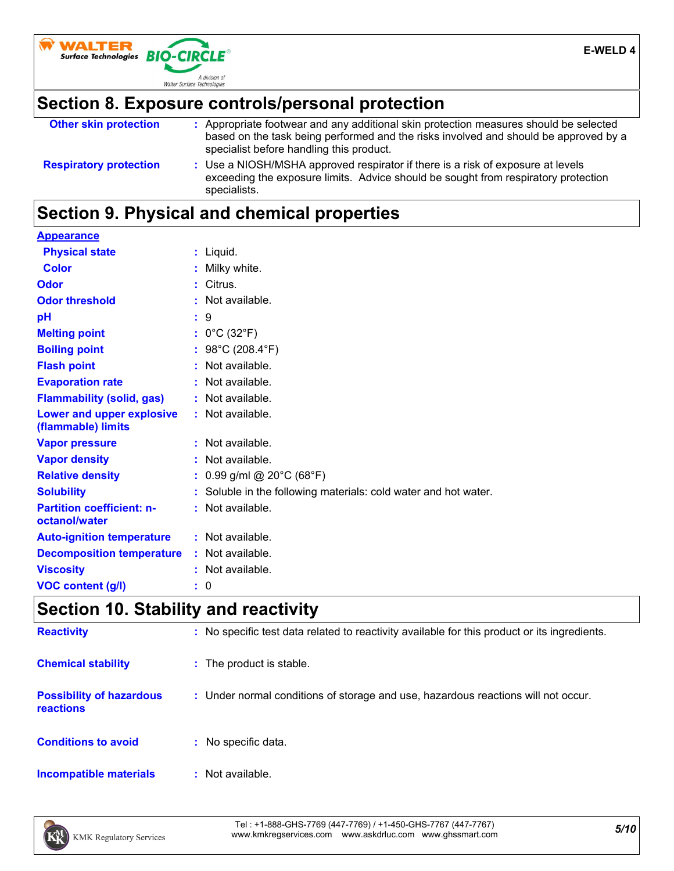

### **Section 8. Exposure controls/personal protection**

| <b>Other skin protection</b>  | Appropriate footwear and any additional skin protection measures should be selected                                                                                                   |
|-------------------------------|---------------------------------------------------------------------------------------------------------------------------------------------------------------------------------------|
|                               | based on the task being performed and the risks involved and should be approved by a<br>specialist before handling this product.                                                      |
| <b>Respiratory protection</b> | : Use a NIOSH/MSHA approved respirator if there is a risk of exposure at levels<br>exceeding the exposure limits. Advice should be sought from respiratory protection<br>specialists. |

### **Section 9. Physical and chemical properties**

| <b>Appearance</b>                                 |                                                               |
|---------------------------------------------------|---------------------------------------------------------------|
| <b>Physical state</b>                             | : Liquid.                                                     |
| <b>Color</b>                                      | Milky white.                                                  |
| Odor                                              | Citrus.                                                       |
| <b>Odor threshold</b>                             | Not available.                                                |
| рH                                                | :9                                                            |
| <b>Melting point</b>                              | : $0^{\circ}$ C (32 $^{\circ}$ F)                             |
| <b>Boiling point</b>                              | : $98^{\circ}$ C (208.4 $^{\circ}$ F)                         |
| <b>Flash point</b>                                | : Not available.                                              |
| <b>Evaporation rate</b>                           | : Not available.                                              |
| <b>Flammability (solid, gas)</b>                  | : Not available.                                              |
| Lower and upper explosive<br>(flammable) limits   | $:$ Not available.                                            |
| <b>Vapor pressure</b>                             | : Not available.                                              |
| <b>Vapor density</b>                              | : Not available.                                              |
| <b>Relative density</b>                           | : $0.99$ g/ml @ 20°C (68°F)                                   |
| <b>Solubility</b>                                 | Soluble in the following materials: cold water and hot water. |
| <b>Partition coefficient: n-</b><br>octanol/water | : Not available.                                              |
| <b>Auto-ignition temperature</b>                  | : Not available.                                              |
| <b>Decomposition temperature</b>                  | $:$ Not available.                                            |
| <b>Viscosity</b>                                  | : Not available.                                              |
| <b>VOC content (g/l)</b>                          | : 0                                                           |

### **Section 10. Stability and reactivity**

| <b>Reactivity</b>                                   | : No specific test data related to reactivity available for this product or its ingredients. |
|-----------------------------------------------------|----------------------------------------------------------------------------------------------|
| <b>Chemical stability</b>                           | : The product is stable.                                                                     |
| <b>Possibility of hazardous</b><br><b>reactions</b> | : Under normal conditions of storage and use, hazardous reactions will not occur.            |
| <b>Conditions to avoid</b>                          | No specific data.<br>÷.                                                                      |
| Incompatible materials                              | Not available.                                                                               |

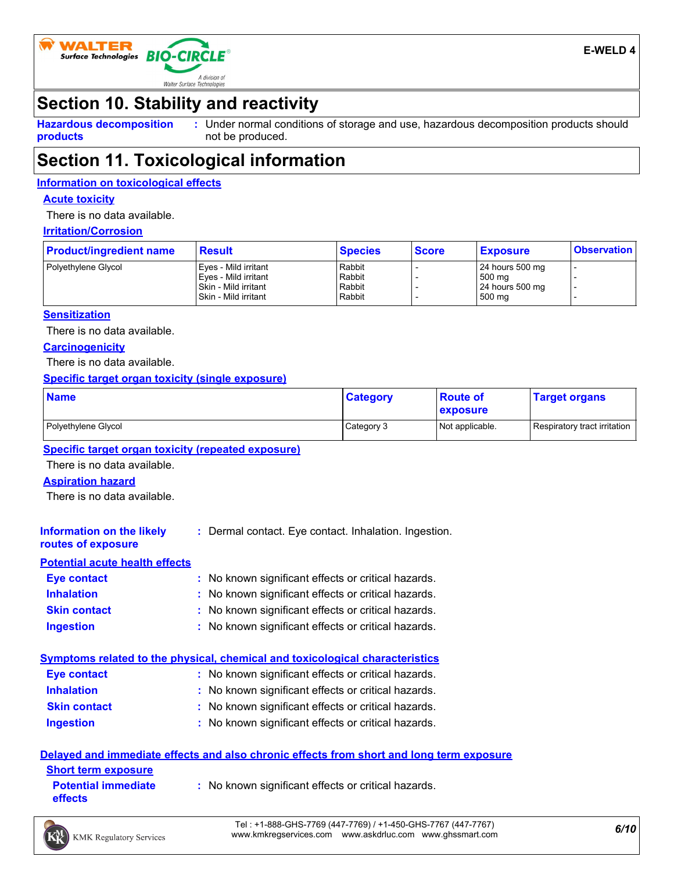

### **Section 10. Stability and reactivity**

**Hazardous decomposition products**

Under normal conditions of storage and use, hazardous decomposition products should **:** not be produced.

### **Section 11. Toxicological information**

#### **Information on toxicological effects**

#### **Acute toxicity**

There is no data available.

### **Irritation/Corrosion**

| <b>Product/ingredient name</b> | <b>Result</b>                                                                                    | <b>Species</b>                       | <b>Score</b> | <b>Exposure</b>                                          | <b>Observation</b> |
|--------------------------------|--------------------------------------------------------------------------------------------------|--------------------------------------|--------------|----------------------------------------------------------|--------------------|
| Polyethylene Glycol            | Eves - Mild irritant<br>Eves - Mild irritant<br>l Skin - Mild irritant<br>l Skin - Mild irritant | Rabbit<br>Rabbit<br>Rabbit<br>Rabbit |              | 24 hours 500 mg<br>500 mg<br>$24$ hours 500 mg<br>500 mg |                    |

#### **Sensitization**

There is no data available.

#### **Carcinogenicity**

There is no data available.

#### **Specific target organ toxicity (single exposure)**

| <b>Name</b>         | <b>Category</b> | <b>Route of</b><br>exposure | <b>Target organs</b>         |
|---------------------|-----------------|-----------------------------|------------------------------|
| Polyethylene Glycol | Category 3      | Not applicable.             | Respiratory tract irritation |

#### **Specific target organ toxicity (repeated exposure)**

There is no data available.

#### **Aspiration hazard**

There is no data available.

| Information on the likely<br>routes of exposure | : Dermal contact. Eye contact. Inhalation. Ingestion. |
|-------------------------------------------------|-------------------------------------------------------|
| <b>Potential acute health effects</b>           |                                                       |
| Eye contact                                     | : No known significant effects or critical hazards.   |

| <b>Inhalation</b>   | : No known significant effects or critical hazards. |
|---------------------|-----------------------------------------------------|
| <b>Skin contact</b> | : No known significant effects or critical hazards. |
| Ingestion           | : No known significant effects or critical hazards. |

#### **Symptoms related to the physical, chemical and toxicological characteristics**

| <b>Eye contact</b>  | : No known significant effects or critical hazards. |
|---------------------|-----------------------------------------------------|
| <b>Inhalation</b>   | : No known significant effects or critical hazards. |
| <b>Skin contact</b> | : No known significant effects or critical hazards. |
| <b>Ingestion</b>    | : No known significant effects or critical hazards. |

#### **Delayed and immediate effects and also chronic effects from short and long term exposure**

| <b>Short term exposure</b>            |                                                     |
|---------------------------------------|-----------------------------------------------------|
| <b>Potential immediate</b><br>effects | : No known significant effects or critical hazards. |

*6/10* Tel : +1-888-GHS-7769 (447-7769) / +1-450-GHS-7767 (447-7767) www.kmkregservices.com www.askdrluc.com www.ghssmart.com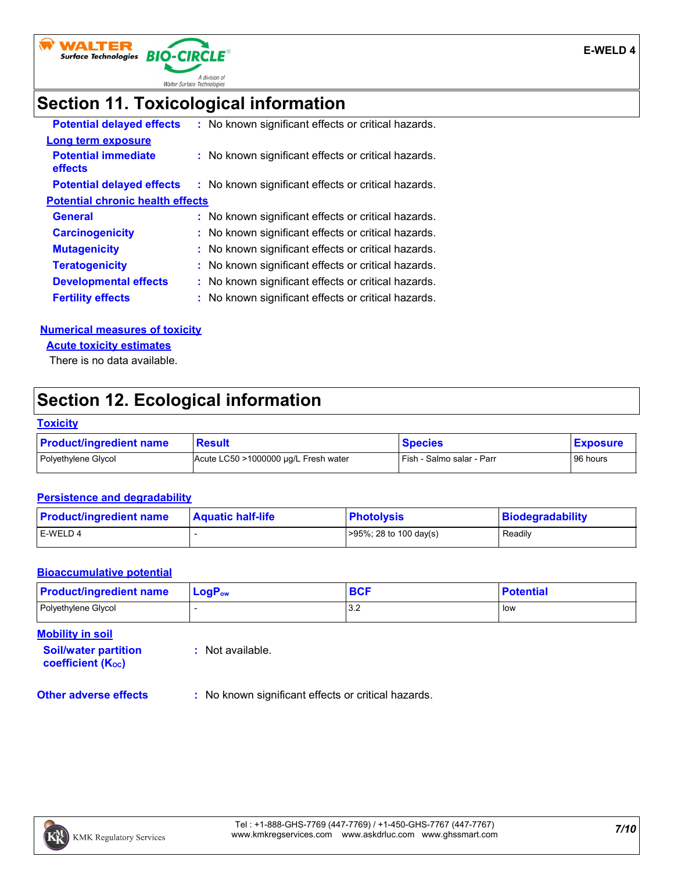

### **Section 11. Toxicological information**

| : No known significant effects or critical hazards. |
|-----------------------------------------------------|
|                                                     |
| : No known significant effects or critical hazards. |
| : No known significant effects or critical hazards. |
| <b>Potential chronic health effects</b>             |
| : No known significant effects or critical hazards. |
| : No known significant effects or critical hazards. |
| : No known significant effects or critical hazards. |
| : No known significant effects or critical hazards. |
| : No known significant effects or critical hazards. |
| : No known significant effects or critical hazards. |
|                                                     |

#### **Numerical measures of toxicity**

**Acute toxicity estimates**

There is no data available.

### **Section 12. Ecological information**

#### **Toxicity**

| <b>Product/ingredient name</b> | <b>Result</b>                        | <b>Species</b>            | <b>Exposure</b> |
|--------------------------------|--------------------------------------|---------------------------|-----------------|
| Polyethylene Glycol            | Acute LC50 >1000000 µg/L Fresh water | Fish - Salmo salar - Parr | 96 hours        |

#### **Persistence and degradability**

| <b>Product/ingredient name</b> | <b>Aquatic half-life</b> | <b>Photolysis</b>          | Biodegradability |
|--------------------------------|--------------------------|----------------------------|------------------|
| E-WELD 4                       |                          | $>95\%$ ; 28 to 100 day(s) | Readily          |

#### **Bioaccumulative potential**

| <b>Product/ingredient name</b> | ∣ LoqP <sub>ow</sub> | <b>BCF</b> | <b>Potential</b> |
|--------------------------------|----------------------|------------|------------------|
| Polyethylene Glycol            |                      | າ າ<br>◡.∠ | low              |

**Mobility in soil**

**Soil/water partition coefficient (KOC)**

**:** Not available.

**Other adverse effects** : No known significant effects or critical hazards.

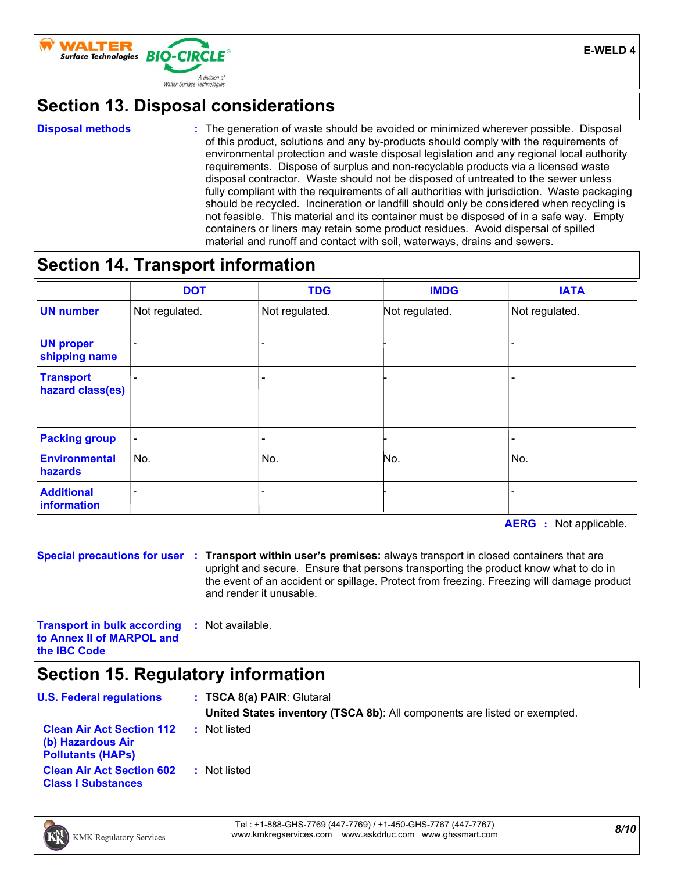

### **Section 13. Disposal considerations**

#### **Disposal methods :**

The generation of waste should be avoided or minimized wherever possible. Disposal of this product, solutions and any by-products should comply with the requirements of environmental protection and waste disposal legislation and any regional local authority requirements. Dispose of surplus and non-recyclable products via a licensed waste disposal contractor. Waste should not be disposed of untreated to the sewer unless fully compliant with the requirements of all authorities with jurisdiction. Waste packaging should be recycled. Incineration or landfill should only be considered when recycling is not feasible. This material and its container must be disposed of in a safe way. Empty containers or liners may retain some product residues. Avoid dispersal of spilled material and runoff and contact with soil, waterways, drains and sewers.

### **Section 14. Transport information**

|                                      | <b>DOT</b>               | <b>TDG</b>               | <b>IMDG</b>    | <b>IATA</b>              |
|--------------------------------------|--------------------------|--------------------------|----------------|--------------------------|
| <b>UN number</b>                     | Not regulated.           | Not regulated.           | Not regulated. | Not regulated.           |
| <b>UN proper</b><br>shipping name    |                          | -                        |                |                          |
| <b>Transport</b><br>hazard class(es) |                          | $\overline{\phantom{0}}$ |                |                          |
| <b>Packing group</b>                 | $\overline{\phantom{a}}$ | $\overline{\phantom{a}}$ |                | $\overline{\phantom{0}}$ |
| <b>Environmental</b><br>hazards      | No.                      | No.                      | No.            | No.                      |
| <b>Additional</b><br>information     |                          |                          |                |                          |

**AERG :** Not applicable.

**Special precautions for user Transport within user's premises:** always transport in closed containers that are **:** upright and secure. Ensure that persons transporting the product know what to do in the event of an accident or spillage. Protect from freezing. Freezing will damage product and render it unusable.

**Transport in bulk according to Annex II of MARPOL and the IBC Code :** Not available.

### **Section 15. Regulatory information**

| <b>U.S. Federal regulations</b>                                                   | : TSCA 8(a) PAIR: Glutaral<br>United States inventory (TSCA 8b): All components are listed or exempted. |
|-----------------------------------------------------------------------------------|---------------------------------------------------------------------------------------------------------|
| <b>Clean Air Act Section 112</b><br>(b) Hazardous Air<br><b>Pollutants (HAPs)</b> | : Not listed                                                                                            |
| <b>Clean Air Act Section 602</b><br><b>Class I Substances</b>                     | : Not listed                                                                                            |

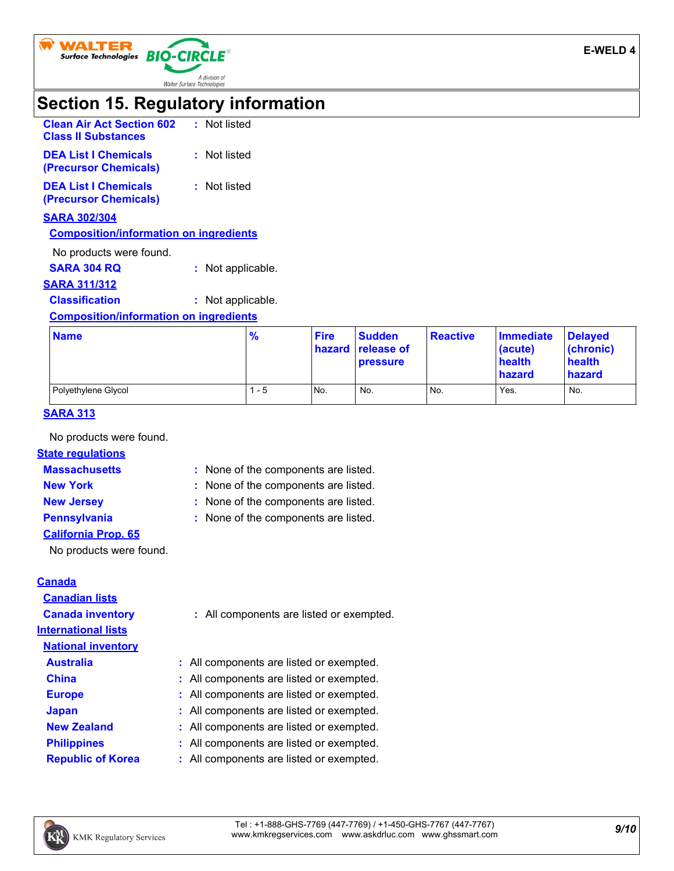

### **Section 15. Regulatory information**

| <b>Clean Air Act Section 602</b><br><b>Class II Substances</b> | : Not listed |
|----------------------------------------------------------------|--------------|
| <b>DEA List I Chemicals</b><br>(Precursor Chemicals)           | : Not listed |
| <b>DEA List I Chemicals</b><br>(Precursor Chemicals)           | : Not listed |
| <b>SARA 302/304</b>                                            |              |

#### **Composition/information on ingredients**

No products were found.

**SARA 304 RQ :** Not applicable.

**SARA 311/312**

**Classification :** Not applicable.

#### **Composition/information on ingredients**

| <b>Name</b>         | $\frac{9}{6}$ | <b>Fire</b> | <b>Sudden</b><br><b>hazard release of</b><br><b>pressure</b> | <b>Reactive</b> | Immediate<br>$ $ (acute)<br>health<br>hazard | <b>Delayed</b><br>(chronic)<br>health<br>hazard |
|---------------------|---------------|-------------|--------------------------------------------------------------|-----------------|----------------------------------------------|-------------------------------------------------|
| Polyethylene Glycol | - 5           | No.         | No.                                                          | No.             | Yes.                                         | No.                                             |

#### **SARA 313**

No products were found.

#### **State regulations**

**Massachusetts :**

- 
- : None of the components are listed. **New York :** None of the components are listed.
- **New Jersey :** None of the components are listed.
- 
- **Pennsylvania :** None of the components are listed.
- **California Prop. 65**

No products were found.

### **Canada**

| <b>Canadian lists</b>      |                                          |
|----------------------------|------------------------------------------|
| <b>Canada inventory</b>    | : All components are listed or exempted. |
| <b>International lists</b> |                                          |
| <b>National inventory</b>  |                                          |
| <b>Australia</b>           | : All components are listed or exempted. |
| <b>China</b>               | : All components are listed or exempted. |
| <b>Europe</b>              | : All components are listed or exempted. |
| <b>Japan</b>               | : All components are listed or exempted. |
| <b>New Zealand</b>         | : All components are listed or exempted. |
| <b>Philippines</b>         | : All components are listed or exempted. |
| <b>Republic of Korea</b>   | : All components are listed or exempted. |